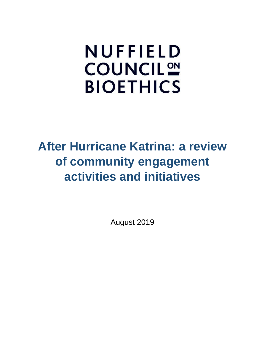# **NUFFIELD COUNCIL<sup>ON</sup> BIOETHICS**

# **After Hurricane Katrina: a review of community engagement activities and initiatives**

August 2019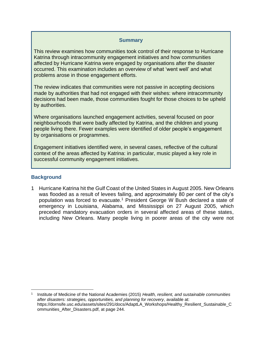#### **Summary**

This review examines how communities took control of their response to Hurricane Katrina through intracommunity engagement initiatives and how communities affected by Hurricane Katrina were engaged by organisations after the disaster occurred. This examination includes an overview of what 'went well' and what problems arose in those engagement efforts.

The review indicates that communities were not passive in accepting decisions made by authorities that had not engaged with their wishes: where intracommunity decisions had been made, those communities fought for those choices to be upheld by authorities.

Where organisations launched engagement activities, several focused on poor neighbourhoods that were badly affected by Katrina, and the children and young people living there. Fewer examples were identified of older people's engagement by organisations or programmes.

Engagement initiatives identified were, in several cases, reflective of the cultural context of the areas affected by Katrina: in particular, music played a key role in successful community engagement initiatives.

#### **Background**

1 Hurricane Katrina hit the Gulf Coast of the United States in August 2005. New Orleans was flooded as a result of levees failing, and approximately 80 per cent of the city's population was forced to evacuate.<sup>1</sup> President George W Bush declared a state of emergency in Louisiana, Alabama, and Mississippi on 27 August 2005, which preceded mandatory evacuation orders in several affected areas of these states, including New Orleans. Many people living in poorer areas of the city were not

<sup>1</sup> Institute of Medicine of the National Academies (2015) *Health, resilient, and sustainable communities after disasters: strategies, opportunities, and planning for recovery*, available at: https://dornsife.usc.edu/assets/sites/291/docs/AdaptLA\_Workshops/Healthy\_Resilient\_Sustainable\_C ommunities\_After\_Disasters.pdf, at page 244.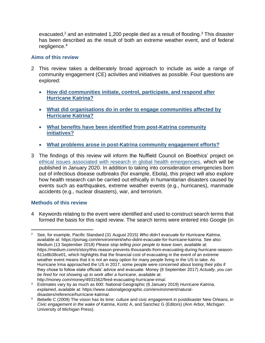evacuated,<sup>2</sup> and an estimated 1,200 people died as a result of flooding.<sup>3</sup> This disaster has been described as the result of both an extreme weather event, and of federal negligence.<sup>4</sup>

#### **Aims of this review**

- 2 This review takes a deliberately broad approach to include as wide a range of community engagement (CE) activities and initiatives as possible. Four questions are explored:
	- **[How did communities initiate, control, participate, and respond after](#page-3-0)  [Hurricane Katrina?](#page-3-0)**
	- **What did organisations [do in order to engage communities affected by](#page-9-0)  [Hurricane Katrina?](#page-9-0)**
	- **[What benefits have been identified from post-Katrina community](#page-17-0)  [initiatives?](#page-17-0)**
	- **[What problems arose in post-Katrina community engagement efforts?](#page-21-0)**
- 3 The findings of this review will inform the Nuffield Council on Bioethics' project on [ethical issues associated with research in global health emergencies,](http://nuffieldbioethics.org/project/global-health-emergencies) which will be published in January 2020. In addition to taking into consideration emergencies born out of infectious disease outbreaks (for example, Ebola), this project will also explore how health research can be carried out ethically in humanitarian disasters caused by events such as earthquakes, extreme weather events (e.g., hurricanes), manmade accidents (e.g., nuclear disasters), war, and terrorism.

#### **Methods of this review**

4 Keywords relating to the event were identified and used to construct search terms that formed the basis for this rapid review. The search terms were entered into Google (in

<sup>2</sup> See, for example, Pacific Standard (31 August 2015) *Who didn't evacuate for Hurricane Katrina*, available at: https://psmag.com/environment/who-didnt-evacuate-for-hurricane-katrina. See also: Medium (13 September 2018) *Please stop telling poor people to leave town*, available at: https://medium.com/s/story/this-reason-prevents-thousands-from-evacuating-during-hurricane-season-611e8b38ce01, which highlights that the financial cost of evacuating in the event of an extreme weather event means that it is not an easy option for many people living in the US to take. As Hurricane Irma approached the US in 2017, some people were concerned about losing their jobs if they chose to follow state officials' advice and evacuate: Money (8 September 2017) *Actually, you can be fired for not showing up to work after a hurricane*, available at: http://money.com/money/4931562/fired-evacuating-hurricane-irma/.

<sup>3</sup> Estimates vary by as much as 600: National Geographic (6 January 2019) *Hurricane Katrina, explained*, available at: https://www.nationalgeographic.com/environment/naturaldisasters/reference/hurricane-katrina/.

<sup>4</sup> Bebelle C (2009) The vision has its time: culture and civic engagement in postdisaster New Orleans, in *Civic engagement in the wake of Katrina*, Koritz A, and Sanchez G (Editors) (Ann Arbor, Michigan: University of Michigan Press).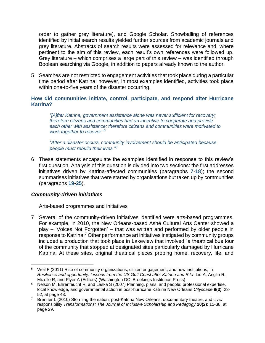order to gather grey literature), and Google Scholar. Snowballing of references identified by initial search results yielded further sources from academic journals and grey literature. Abstracts of search results were assessed for relevance and, where pertinent to the aim of this review, each result's own references were followed up. Grey literature – which comprises a large part of this review – was identified through Boolean searching via Google, in addition to papers already known to the author.

5 Searches are not restricted to engagement activities that took place during a particular time period after Katrina: however, in most examples identified, activities took place within one-to-five years of the disaster occurring.

#### <span id="page-3-0"></span>**How did communities initiate, control, participate, and respond after Hurricane Katrina?**

*"[A]fter Katrina, government assistance alone was never sufficient for recovery; therefore citizens and communities had an incentive to cooperate and provide each other with assistance; therefore citizens and communities were motivated to work together to recover."<sup>5</sup>*

*"After a disaster occurs, community involvement should be anticipated because people must rebuild their lives."<sup>6</sup>*

6 These statements encapsulate the examples identified in response to this review's first question. Analysis of this question is divided into two sections: the first addresses initiatives driven by Katrina-affected communities (paragraphs **[7](#page-3-1)**-**[18](#page-7-0)**); the second summarises initiatives that were started by organisations but taken up by communities (paragraphs **[19](#page-7-1)**-**25**).

#### *Community-driven initiatives*

Arts-based programmes and initiatives

<span id="page-3-1"></span>7 Several of the community-driven initiatives identified were arts-based programmes. For example, in 2010, the New Orleans-based Ashé Cultural Arts Center showed a play – 'Voices Not Forgotten' – that was written and performed by older people in response to Katrina.<sup>7</sup> Other performance art initiatives instigated by community groups included a production that took place in Lakeview that involved "a theatrical bus tour of the community that stopped at designated sites particularly damaged by Hurricane Katrina. At these sites, original theatrical pieces probing home, recovery, life, and

<sup>5</sup> Weil F (2011) Rise of community organizations, citizen engagement, and new institutions, in *Resilience and opportunity: lessons from the US Gulf Coast after Katrina and Rita*, Liu A, Anglin R, Mizelle R, and Plyer A (Editors) (Washington DC: Brookings Institution Press).

<sup>6</sup> Nelson M, Ehrenfeucht R, and Laska S (2007) Planning, plans, and people: professional expertise, local knowledge, and governmental action in post-hurricane Katrina New Orleans *Cityscape* **9(3)**: 23- 52, at page 43.

<sup>&</sup>lt;sup>7</sup> Brenner L (2010) Storming the nation: post-Katrina New Orleans, documentary theatre, and civic responsibility *Transformations: The Journal of Inclusive Scholarship and Pedagogy* **20(2)**: 15-38, at page 29.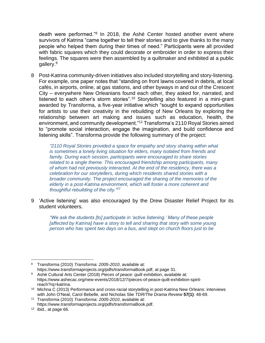death were performed."<sup>8</sup> In 2018, the Ashé Center hosted another event where survivors of Katrina "came together to tell their stories and to give thanks to the many people who helped them during their times of need." Participants were all provided with fabric squares which they could decorate or embroider in order to express their feelings. The squares were then assembled by a quiltmaker and exhibited at a public gallery.<sup>9</sup>

<span id="page-4-0"></span>8 Post-Katrina community-driven initiatives also included storytelling and story-listening. For example, one paper notes that "standing on front lawns covered in debris, at local cafés, in airports, online, at gas stations, and other byways in and out of the Crescent City – everywhere New Orleanians found each other, they asked for, narrated, and listened to each other's storm stories".<sup>10</sup> Storytelling also featured in a mini-grant awarded by Transforma, a five-year initiative which "sought to expand opportunities for artists to use their creativity in the rebuilding of New Orleans by exploring the relationship between art making and issues such as education, health, the environment, and community development."<sup>11</sup> Transforma's 2110 Royal Stories aimed to "promote social interaction, engage the imagination, and build confidence and listening skills". Transforma provide the following summary of the project:

*"2110 Royal Stories provided a space for empathy and story sharing within what is sometimes a lonely living situation for elders, many isolated from friends and family. During each session, participants were encouraged to share stories related to a single theme. This encouraged friendship among participants, many of whom had not previously interacted. At the end of the residency, there was a celebration for our storytellers, during which residents shared stories with a broader community. The project encouraged the sharing of the memories of the elderly in a post-Katrina environment, which will foster a more coherent and thoughtful rebuilding of the city."<sup>12</sup>*

9 'Active listening' was also encouraged by the Drew Disaster Relief Project for its student volunteers.

*"We ask the students [to] participate in 'active listening.' Many of these people [affected by Katrina] have a story to tell and sharing that story with some young person who has spent two days on a bus, and slept on church floors just to be* 

<sup>8</sup> Transforma (2010) *Transforma: 2005-2010*, available at: https://www.transformaprojects.org/pdfs/transformaBook.pdf, at page 31.

<sup>9</sup> Ashé Cultural Arts Center (2018) *Pieces of peace: quilt exhibition*, available at: https://www.ashecac.org/new-events/2018/12/7/pieces-of-peace-quilt-exhibition-spiritreach?rq=katrina.

<sup>10</sup> Michna C (2013) Performance and cross-racial storytelling in post-Katrina New Orleans: interviews with John O'Neal, Carol Bebelle, and Nicholas Slie *TDR/The Drama Review* **57(1)**: 48-69.

<sup>11</sup> Transforma (2010) *Transforma: 2005-2010*, available at: https://www.transformaprojects.org/pdfs/transformaBook.pdf.

 $12$  ibid., at page 66.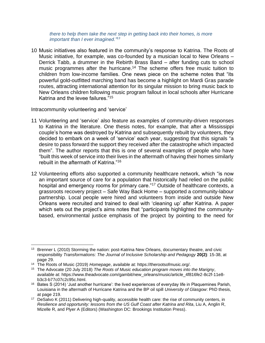*there to help them take the next step in getting back into their homes, is more important than I ever imagined."<sup>13</sup>*

10 Music initiatives also featured in the community's response to Katrina. The Roots of Music initiative, for example, was co-founded by a musician local to New Orleans – Derrick Tabb, a drummer in the Rebirth Brass Band – after funding cuts to school music programmes after the hurricane. <sup>14</sup> The scheme offers free music tuition to children from low-income families. One news piece on the scheme notes that "its powerful gold-outfitted marching band has become a highlight on Mardi Gras parade routes, attracting international attention for its singular mission to bring music back to New Orleans children following music program fallout in local schools after Hurricane Katrina and the levee failures."<sup>15</sup>

Intracommunity volunteering and 'service'

- 11 Volunteering and 'service' also feature as examples of community-driven responses to Katrina in the literature. One thesis notes, for example, that after a Mississippi couple's home was destroyed by Katrina and subsequently rebuilt by volunteers, they decided to embark on a week of 'service' each year, suggesting that this signals "a desire to pass forward the support they received after the catastrophe which impacted them". The author reports that this is one of several examples of people who have "built this week of service into their lives in the aftermath of having their homes similarly rebuilt in the aftermath of Katrina."<sup>16</sup>
- 12 Volunteering efforts also supported a community healthcare network, which "is now an important source of care for a population that historically had relied on the public hospital and emergency rooms for primary care."<sup>17</sup> Outside of healthcare contexts, a grassroots recovery project – Safe Way Back Home – supported a community-labour partnership. Local people were hired and volunteers from inside and outside New Orleans were recruited and trained to deal with 'cleaning up' after Katrina. A paper which sets out the project's aims notes that "participants highlighted the communitybased, environmental justice emphasis of the project by pointing to the need for

<sup>&</sup>lt;sup>13</sup> Brenner L (2010) Storming the nation: post-Katrina New Orleans, documentary theatre, and civic responsibility *Transformations: The Journal of Inclusive Scholarship and Pedagogy* **20(2)**: 15-38, at page 29.

<sup>14</sup> The Roots of Music (2019) *Homepage*, available at: https://therootsofmusic.org/.

<sup>15</sup> The Advocate (20 July 2018) *The Roots of Music education program moves into the Marigny*, available at: https://www.theadvocate.com/gambit/new\_orleans/music/article\_4f816fe2-8c2f-11e8 b3c3-b77c07c2c95c.html.

<sup>&</sup>lt;sup>16</sup> Bates S (2014) 'Just another hurricane': the lived experiences of everyday life in Plaquemines Parish, Louisiana in the aftermath of Hurricane Katrina and the BP oil spill *University of Glasgow*: PhD thesis, at page 219.

<sup>&</sup>lt;sup>17</sup> DeSalvo K (2011) Delivering high-quality, accessible health care: the rise of community centers, in *Resilience and opportunity: lessons from the US Gulf Coast after Katrina and Rita*, Liu A, Anglin R, Mizelle R, and Plyer A (Editors) (Washington DC: Brookings Institution Press).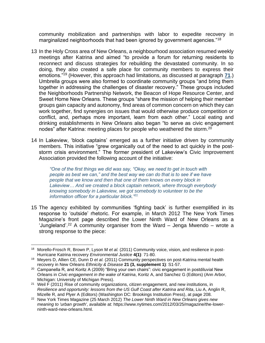<span id="page-6-0"></span>community mobilization and partnerships with labor to expedite recovery in marginalized neighborhoods that had been ignored by government agencies."<sup>18</sup>

- 13 In the Holy Cross area of New Orleans, a neighbourhood association resumed weekly meetings after Katrina and aimed "to provide a forum for returning residents to reconnect and discuss strategies for rebuilding the devastated community. In so doing, they also created a safe place for community members to express their emotions."<sup>19</sup> (However, this approach had limitations, as discussed at paragraph **[71](#page-22-0)**.) Umbrella groups were also formed to coordinate community groups "and bring them together in addressing the challenges of disaster recovery." These groups included the Neighborhoods Partnership Network, the Beacon of Hope Resource Center, and Sweet Home New Orleans. These groups "share the mission of helping their member groups gain capacity and autonomy, find areas of common concern on which they can work together, find synergies on issues that would otherwise produce competition or conflict, and, perhaps more important, learn from each other." Local eating and drinking establishments in New Orleans also began "to serve as civic engagement nodes" after Katrina: meeting places for people who weathered the storm.<sup>20</sup>
- 14 In Lakeview, 'block captains' emerged as a further initiative driven by community members. This initiative "grew organically out of the need to act quickly in the poststorm crisis environment." The former president of Lakeview's Civic Improvement Association provided the following account of the initiative:

*"One of the first things we did was say, "Okay, we need to get in touch with people as best we can," and the best way we can do that is to see if we have people that we know and then that one of them knows on every block in Lakeview… And we created a block captain network, where through everybody knowing somebody in Lakeview, we got somebody to volunteer to be the information officer for a particular block."<sup>21</sup>*

15 The agency exhibited by communities 'fighting back' is further exemplified in its response to 'outside' rhetoric. For example, in March 2012 The New York Times Magazine's front page described the Lower Ninth Ward of New Orleans as a 'Jungleland'.<sup>22</sup> A community organiser from the Ward – Jenga Mwendo – wrote a strong response to the piece:

<sup>18</sup> Morello-Frosch R, Brown P, Lyson M *et al.* (2011) Community voice, vision, and resilience in post-Hurricane Katrina recovery *Environmental Justice* **4(1)**: 71-80.

<sup>19</sup> Meyers D, Allien CE, Dunn D *et al.* (2011) Community perspectives on post-Katrina mental health recovery in New Orleans *Ethnicity & Disease* **21 (3, supplement 1)**: S1-57.

<sup>&</sup>lt;sup>20</sup> Campanella R, and Koritz A (2009) "Bring your own chairs": civic engagement in postdiluvial New Orleans in *Civic engagement in the wake of Katrina*, Koritz A, and Sanchez G (Editors) (Ann Arbor, Michigan: University of Michigan Press).

<sup>&</sup>lt;sup>21</sup> Weil F (2011) Rise of community organizations, citizen engagement, and new institutions, in *Resilience and opportunity: lessons from the US Gulf Coast after Katrina and Rita*, Liu A, Anglin R, Mizelle R, and Plyer A (Editors) (Washington DC: Brookings Institution Press), at page 208.

<sup>22</sup> New York Times Magazine (25 March 2012) *The Lower Ninth Ward in New Orleans gives new meaning to 'urban growth'*, available at: https://www.nytimes.com/2012/03/25/magazine/the-lowerninth-ward-new-orleans.html.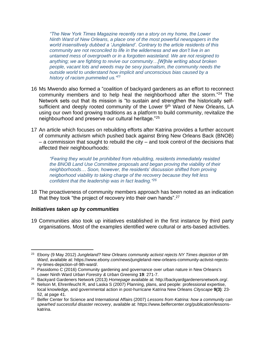*"The New York Times Magazine recently ran a story on my home, the Lower Ninth Ward of New Orleans, a place one of the most powerful newspapers in the world insensitively dubbed a 'Jungleland'. Contrary to the article residents of this community are not reconciled to life in the wilderness and we don't live in an untamed mess of overgrowth or in a forgotten wasteland. We are not resigned to anything; we are fighting to revive our community…[W]hile writing about broken people, vacant lots and weeds may be sexy journalism, the community needs the outside world to understand how implicit and unconscious bias caused by a history of racism pummeled us."<sup>23</sup>*

- 16 Ms Mwendo also formed a "coalition of backyard gardeners as an effort to reconnect community members and to help heal the neighborhood after the storm."<sup>24</sup> The Network sets out that its mission is "to sustain and strengthen the historically selfsufficient and deeply rooted community of the Lower 9<sup>th</sup> Ward of New Orleans, LA using our own food growing traditions as a platform to build community, revitalize the neighbourhood and preserve our cultural heritage."<sup>25</sup>
- 17 An article which focuses on rebuilding efforts after Katrina provides a further account of community activism which pushed back against Bring New Orleans Back (BNOB) – a commission that sought to rebuild the city – and took control of the decisions that affected their neighbourhoods:

*"Fearing they would be prohibited from rebuilding, residents immediately resisted the BNOB Land Use Committee proposals and began proving the viability of their neighborhoods… Soon, however, the residents' discussion shifted from proving neigborhood viability to taking charge of the recovery because they felt less confident that the leadership was in fact leading." 26*

<span id="page-7-0"></span>18 The proactiveness of community members approach has been noted as an indication that they took "the project of recovery into their own hands".<sup>27</sup>

#### *Initiatives taken up by communities*

<span id="page-7-1"></span>19 Communities also took up initiatives established in the first instance by third party organisations. Most of the examples identified were cultural or arts-based activities.

<sup>23</sup> Ebony (9 May 2012) *Jungleland? New Orleans community activist rejects NY Times depiction of 9th Ward*, available at: https://www.ebony.com/news/jungleland-new-orleans-community-activist-rejectsny-times-depiction-of-9th-ward/.

<sup>&</sup>lt;sup>24</sup> Passidomo C (2016) Community gardening and governance over urban nature in New Orleans's Lower Ninth Ward *Urban Forestry & Urban Greening* **19**: 271-7.

<sup>25</sup> Backyard Gardeners Network (2013) *Homepage* available at: http://backyardgardenersnetwork.org/.

<sup>&</sup>lt;sup>26</sup> Nelson M, Ehrenfeucht R, and Laska S (2007) Planning, plans, and people: professional expertise, local knowledge, and governmental action in post-hurricane Katrina New Orleans *Cityscape* **9(3)**: 23- 52, at page 41.

<sup>27</sup> Belfer Center for Science and International Affairs (2007) *Lessons from Katrina: how a community can spearhed successful disaster recovery*, available at: https://www.belfercenter.org/publication/lessonskatrina.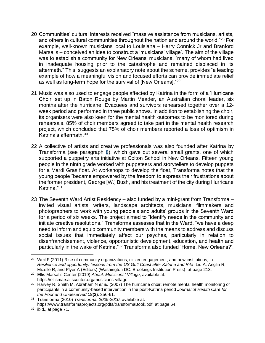- 20 Communities' cultural interests received "massive assistance from musicians, artists, and others in cultural communities throughout the nation and around the world."<sup>28</sup> For example, well-known musicians local to Louisiana – Harry Connick Jr and Branford Marsalis – conceived an idea to construct a 'musicians' village'. The aim of the village was to establish a community for New Orleans' musicians, "many of whom had lived in inadequate housing prior to the catastrophe and remained displaced in its aftermath." This, suggests an explanatory note about the scheme, provides "a leading example of how a meaningful vision and focused efforts can provide immediate relief as well as long-term hope for the survival of [New Orleans]."<sup>29</sup>
- 21 Music was also used to engage people affected by Katrina in the form of a 'Hurricane Choir' set up in Baton Rouge by Martin Meader, an Australian choral leader, six months after the hurricane. Evacuees and survivors rehearsed together over a 12 week period and performed in three public shows. In addition to establishing the choir, its organisers were also keen for the mental health outcomes to be monitored during rehearsals. 85% of choir members agreed to take part in the mental health research project, which concluded that 75% of choir members reported a loss of optimism in Katrina's aftermath.<sup>30</sup>
- 22 A collective of artists and creative professionals was also founded after Katrina by Transforma (see paragraph **[8](#page-4-0)**), which gave out several small grants, one of which supported a puppetry arts initiative at Colton School in New Orleans. Fifteen young people in the ninth grade worked with puppeteers and storytellers to develop puppets for a Mardi Gras float. At workshops to develop the float, Transforma notes that the young people "became empowered by the freedom to express their frustrations about the former president, George [W.] Bush, and his treatment of the city during Hurricane Katrina."<sup>31</sup>
- 23 The Seventh Ward Artist Residency also funded by a mini-grant from Transforma invited visual artists, writers, landscape architects, musicians, filmmakers and photographers to work with young people's and adults' groups in the Seventh Ward for a period of six weeks. The project aimed to "identify needs in the community and initiate creative resolutions." Transforma assesses that in the Ward, "we have a deep need to inform and equip community members with the means to address and discuss social issues that immediately affect our psyches, particularly in relation to disenfranchisement, violence, opportunistic development, education, and health and particularly in the wake of Katrina."<sup>32</sup> Transforma also funded 'Home, New Orleans?',

<sup>&</sup>lt;sup>28</sup> Weil F (2011) Rise of community organizations, citizen engagement, and new institutions, in *Resilience and opportunity: lessons from the US Gulf Coast after Katrina and Rita*, Liu A, Anglin R, Mizelle R, and Plyer A (Editors) (Washington DC: Brookings Institution Press), at page 213.

<sup>29</sup> Ellis Marsalis Center (2019) *About: Musicians' Village*, available at: https://ellismarsaliscenter.org/musicians-village.

<sup>30</sup> Harvey R, Smith M, Abraham N *et al.* (2007) The hurricane choir: remote mental health monitoring of participants in a community-based intervention in the post-Katrina period *Journal of Health Care for the Poor and Undeserved* **18(2)**: 356-61.

<sup>31</sup> Transforma (2010) *Transforma: 2005-2010*, available at: https://www.transformaprojects.org/pdfs/transformaBook.pdf, at page 64.

<sup>32</sup> ibid., at page 71.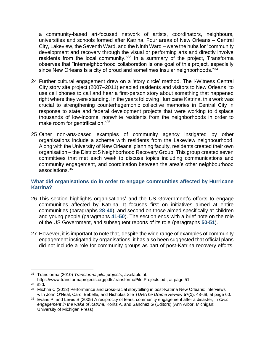a community-based art-focused network of artists, coordinators, neighbours, universities and schools formed after Katrina. Four areas of New Orleans – Central City, Lakeview, the Seventh Ward, and the Ninth Ward – were the hubs for "community development and recovery through the visual or performing arts and directly involve residents from the local community."<sup>33</sup> In a summary of the project, Transforma observes that "interneighborhood collaboration is one goal of this project, especially since New Orleans is a city of proud and sometimes insular neighborhoods."<sup>34</sup>

- 24 Further cultural engagement drew on a 'story circle' method. The i-Witness Central City story site project (2007–2011) enabled residents and visitors to New Orleans "to use cell phones to call and hear a first-person story about something that happened right where they were standing. In the years following Hurricane Katrina, this work was crucial to strengthening counterhegemonic collective memories in Central City in response to state and federal development projects that were working to displace thousands of low-income, nonwhite residents from the neighborhoods in order to make room for gentrification."<sup>35</sup>
- 25 Other non-arts-based examples of community agency instigated by other organisations include a scheme with residents from the Lakeview neighbourhood. Along with the University of New Orleans' planning faculty, residents created their own organisation – the District 5 Neighborhood Recovery Group. This group created seven committees that met each week to discuss topics including communications and community engagement, and coordination between the area's other neighbourhood associations.<sup>36</sup>

## <span id="page-9-0"></span>**What did organisations do in order to engage communities affected by Hurricane Katrina?**

- 26 This section highlights organisations' and the US Government's efforts to engage communities affected by Katrina. It focuses first on initiatives aimed at entire communities (paragraphs **[28](#page-10-0)**-**40**); and second on those aimed specifically at children and young people (paragraphs **[41](#page-14-0)**-**50**). The section ends with a brief note on the role of the US Government, and subsequent reports of its role (paragraphs **[50](#page-17-1)**-**[51](#page-17-2)**).
- 27 However, it is important to note that, despite the wide range of examples of community engagement instigated by organisations, it has also been suggested that official plans did not include a role for community groups as part of post-Katrina recovery efforts.

<sup>33</sup> Transforma (2010) *Transforma pilot projects*, available at:

https://www.transformaprojects.org/pdfs/transformaPilotProjects.pdf, at page 51.

<sup>34</sup> ibid.

<sup>35</sup> Michna C (2013) Performance and cross-racial storytelling in post-Katrina New Orleans: interviews with John O'Neal, Carol Bebelle, and Nicholas Slie *TDR/The Drama Review* **57(1)**: 48-69, at page 60.

<sup>36</sup> Evans P, and Lewis S (2009) A reciprocity of tears: community engagement after a disaster, in *Civic engagement in the wake of Katrina*, Koritz A, and Sanchez G (Editors) (Ann Arbor, Michigan: University of Michigan Press).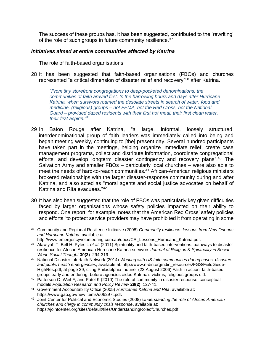The success of these groups has, it has been suggested, contributed to the 'rewriting' of the role of such groups in future community resilience.<sup>37</sup>

#### *Initiatives aimed at entire communities affected by Katrina*

The role of faith-based organisations

<span id="page-10-0"></span>28 It has been suggested that faith-based organisations (FBOs) and churches represented "a critical dimension of disaster relief and recovery"<sup>38</sup> after Katrina.

*"From tiny storefront congregations to deep-pocketed denominations, the communities of faith arrived first. In the harrowing hours and days after Hurricane Katrina, when survivors roamed the desolate streets in search of water, food and medicine, (religious) groups – not FEMA, not the Red Cross, not the National Guard – provided dazed residents with their first hot meal, their first clean water, their first aspirin."<sup>39</sup>*

- 29 In Baton Rouge after Katrina, "a large, informal, loosely structured, interdenominational group of faith leaders was immediately called into being and began meeting weekly, continuing to [the] present day. Several hundred participants have taken part in the meetings, helping organize immediate relief, create case management programs, collect and distribute information, coordinate congregational efforts, and develop longterm disaster contingency and recovery plans".<sup>40</sup> The Salvation Army and smaller FBOs – particularly local churches – were also able to meet the needs of hard-to-reach communities.<sup>41</sup> African-American religious ministers brokered relationships with the larger disaster-response community during and after Katrina, and also acted as "moral agents and social justice advocates on behalf of Katrina and Rita evacuees."<sup>42</sup>
- 30 It has also been suggested that the role of FBOs was particularly key given difficulties faced by larger organisations whose safety policies impacted on their ability to respond. One report, for example, notes that the American Red Cross' safety policies and efforts "to protect service providers may have prohibited it from operating in some

<sup>37</sup> Community and Regional Resilience Initiative (2008) *Community resilience: lessons from New Orleans and Hurricane Katrina*, available at: http://www.emergencyvolunteering.com.au/docs/CR\_Lessons\_Hurricane\_Katrina.pdf.

<sup>38</sup> Alawiyah T, Bell H, Pyles L *et al.* (2011) Spirituality and faith-based interventions: pathways to disaster resilience for African American Hurricane Katrina survivors *Journal of Religion & Spirituality in Social Work: Social Thought* **30(3)**: 294-319.

<sup>39</sup> National Disaster Interfaith Network (2014) *Working with US faith communities during crises, disasters and public health emergencies*, available at: http://www.n-din.org/ndin\_resources/FGS/FieldGuide-HighRes.pdf, at page 39, citing Philadelphia Inquirer (23 August 2006) Faith in action: faith-based groups early and enduring: before agencies aided Katrina's victims, religious groups did.

<sup>&</sup>lt;sup>40</sup> Patterson O, Weil F, and Patel K (2010) The role of community in disaster response: conceptual models *Population Research and Policy Review* **29(2)**: 127-41.

<sup>41</sup> Government Accountability Office (2005) *Hurricanes Katrina and Rita*, available at: https://www.gao.gov/new.items/d06297t.pdf.

<sup>42</sup> Joint Center for Political and Economic Studies (2008) *Understanding the role of African American churches and clergy in community crisis response*, available at: https://jointcenter.org/sites/default/files/UnderstandingRoleofChurches.pdf.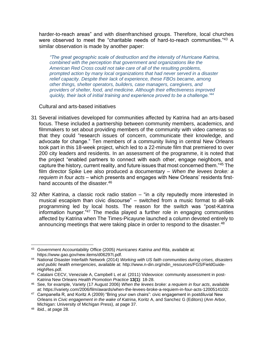harder-to-reach areas" and with disenfranchised groups. Therefore, local churches were observed to meet the "charitable needs of hard-to-reach communities."<sup>43</sup> A similar observation is made by another paper:

*"The great geographic scale of destruction and the intensity of Hurricane Katrina, combined with the perception that government and organizations like the American Red Cross could not take care of all of the resulting problems, prompted action by many local organizations that had never served in a disaster relief capacity. Despite their lack of experience, these FBOs became, among other things, shelter operators, builders, case managers, caregivers, and providers of shelter, food, and medicine. Although their effectiveness improved quickly, their lack of initial training and experience proved to be a challenge."<sup>44</sup>*

Cultural and arts-based initiatives

- 31 Several initiatives developed for communities affected by Katrina had an arts-based focus. These included a partnership between community members, academics, and filmmakers to set about providing members of the community with video cameras so that they could "research issues of concern, communicate their knowledge, and advocate for change." Ten members of a community living in central New Orleans took part in this 18-week project, which led to a 22-minute film that premiered to over 200 city leaders and residents. In an assessment of the programme, it is noted that the project "enabled partners to connect with each other, engage neighbors, and capture the history, current reality, and future issues that most concerned them."<sup>45</sup> The film director Spike Lee also produced a documentary – *When the levees broke: a requiem in four acts* – which presents and engages with New Orleans' residents firsthand accounts of the disaster.<sup>46</sup>
- 32 After Katrina, a classic rock radio station "in a city reputedly more interested in musical escapism than civic discourse" – switched from a music format to all-talk programming led by local hosts. The reason for the switch was "post-Katrina information hunger."<sup>47</sup> The media played a further role in engaging communities affected by Katrina when The Times-Picayune launched a column devoted entirely to announcing meetings that were taking place in order to respond to the disaster.  $48$

<sup>43</sup> Government Accountability Office (2005) *Hurricanes Katrina and Rita*, available at: https://www.gao.gov/new.items/d06297t.pdf.

<sup>44</sup> National Disaster Interfaith Network (2014) *Working with US faith communities during crises, disasters and public health emergencies*, available at: http://www.n-din.org/ndin\_resources/FGS/FieldGuide-HighRes.pdf.

<sup>45</sup> Catalani CECV, Veneziale A, Campbell L *et al.* (2011) Videovoice: community assessment in post-Katrina New Orleans *Health Promotion Practice* **13(1)**: 18-28.

<sup>46</sup> See, for example, Variety (17 August 2006) *When the levees broke: a requiem in four acts*, available at: https://variety.com/2006/film/awards/when-the-levees-broke-a-requiem-in-four-acts-1200514102/.

<sup>47</sup> Campanella R, and Koritz A (2009) "Bring your own chairs": civic engagement in postdiluvial New Orleans in *Civic engagement in the wake of Katrina*, Koritz A, and Sanchez G (Editors) (Ann Arbor, Michigan: University of Michigan Press), at page 37.

<sup>48</sup> ibid., at page 28.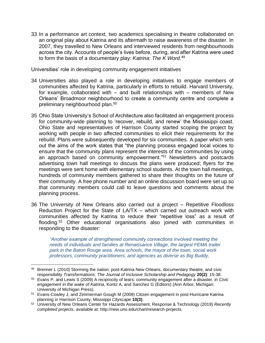<span id="page-12-2"></span>33 In a performance art context, two academics specialising in theatre collaborated on an original play about Katrina and its aftermath to raise awareness of the disaster. In 2007, they travelled to New Orleans and interviewed residents from neighbourhoods across the city. Accounts of people's lives before, during, and after Katrina were used to form the basis of a documentary play: *Katrina: The K Word*. 49

Universities' role in developing community engagement initiatives

- <span id="page-12-0"></span>34 Universities also played a role in developing initiatives to engage members of communities affected by Katrina, particularly in efforts to rebuild. Harvard University, for example, collaborated with – and built relationships with – members of New Orleans' Broadmoor neighbourhood to create a community centre and complete a preliminary neighbourhood plan.<sup>50</sup>
- <span id="page-12-1"></span>35 Ohio State University's School of Architecture also facilitated an engagement process for community-wide planning to 'recover, rebuild, and renew' the Mississippi coast. Ohio State and representatives of Harrison County started scoping the project by working with people in two affected communities to elicit their requirements for the rebuild. Plans were subsequently developed for six communities. A paper which sets out the aims of the work states that "the planning process engaged local voices to ensure that the community plans represent the interests of the communities by using an approach based on community empowerment."<sup>51</sup> Newsletters and postcards advertising town hall meetings to discuss the plans were produced; flyers for the meetings were sent home with elementary school students. At the town hall meetings, hundreds of community members gathered to share their thoughts on the future of their community. A free phone number and an online discussion board were set up so that community members could call to leave questions and comments about the planning process.
- 36 The University of New Orleans also carried out a project Repetitive Floodloss Reduction Project for the State of LA/TX – which carried out outreach work with communities affected by Katrina to reduce their "repetitive loss" as a result of flooding.<sup>52</sup> Other educational organisations also joined with communities in responding to the disaster:

*"Another example of strengthened community connections involved meeting the needs of individuals and families at Renaissance Village, the largest FEMA trailer park in the Baton Rouge area. Area schools, the mayor of the town, social work professors, community practitioners, and agencies as diverse as Big Buddy,* 

<sup>49</sup> Brenner L (2010) Storming the nation: post-Katrina New Orleans, documentary theatre, and civic responsibility *Transformations: The Journal of Inclusive Scholarship and Pedagogy* **20(2)**: 15-38.

<sup>50</sup> Evans P, and Lewis S (2009) A reciprocity of tears: community engagement after a disaster, in *Civic engagement in the wake of Katrina*, Koritz A, and Sanchez G (Editors) (Ann Arbor, Michigan: University of Michigan Press).

<sup>51</sup> Evans-Cowley J, and Zimmerman Gough M (2009) Citizen engagement in post-Hurricane Katrina planning in Harrison County, Misssippi *Cityscape* **10(3)**.

<sup>52</sup> University of New Orleans Center for Hazards Assessment, Response & Technology (2019) *Recently completed projects*, available at: http://new.uno.edu/chart/research-projects.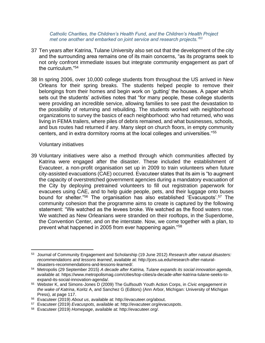*Catholic Charities, the Children's Health Fund, and the Children's Health Project met one another and embarked on joint service and research projects."<sup>53</sup>*

- 37 Ten years after Katrina, Tulane University also set out that the development of the city and the surrounding area remains one of its main concerns, "as its programs seek to not only confront immediate issues but integrate community engagement as part of the curriculum."<sup>54</sup>
- <span id="page-13-0"></span>38 In spring 2006, over 10,000 college students from throughout the US arrived in New Orleans for their spring breaks. The students helped people to remove their belongings from their homes and begin work on 'gutting' the houses. A paper which sets out the students' activities notes that "for many people, these college students were providing an incredible service, allowing families to see past the devastation to the possibility of returning and rebuilding. The students worked with neighborhood organizations to survey the basics of each neighborhood: who had returned, who was living in FEMA trailers, where piles of debris remained, and what businesses, schools, and bus routes had returned if any. Many slept on church floors, in empty community centers, and in extra dormitory rooms at the local colleges and universities."<sup>55</sup>

#### Voluntary initiatives

39 Voluntary initiatives were also a method through which communities affected by Katrina were engaged after the disaster. These included the establishment of Evacuteer, a non-profit organisation set up in 2009 to train volunteers when future city-assisted evacuations (CAE) occurred. Evacuteer states that its aim is "to augment the capacity of overstretched government agencies during a mandatory evacuation of the City by deploying pretrained volunteers to fill out registration paperwork for evacuees using CAE, and to help guide people, pets, and their luggage onto buses bound for shelter."<sup>56</sup> The organisation has also established 'Evacuspots'.<sup>57</sup> The community cohesion that the programme aims to create is captured by the following statement: "We watched as the levees broke. We watched as the flood waters rose. We watched as New Orleanians were stranded on their rooftops, in the Superdome, the Convention Center, and on the interstate. Now, we come together with a plan, to prevent what happened in 2005 from ever happening again."<sup>58</sup>

<sup>53</sup> Journal of Community Engagement and Scholarship (19 June 2012) *Research after natural disasters: recommendations and lessons learned*, available at: http://jces.ua.edu/research-after-naturaldisasters-recommendations-and-lessons-learned/.

<sup>54</sup> Metropolis (29 September 2015) *A decade after Katrina, Tulane expands its social innovation agenda*, available at: https://www.metropolismag.com/cities/top-cities/a-decade-after-katrina-tulane-seeks-toexpand-its-social-innovation-agenda/.

<sup>55</sup> Webster K, and Simons-Jones D (2009) The Gulfsouth Youth Action Corps, in *Civic engagement in the wake of Katrina*, Koritz A, and Sanchez G (Editors) (Ann Arbor, Michigan: University of Michigan Press), at page 117.

<sup>56</sup> Evacuteer (2019) *About us*, available at: http://evacuteer.org/about.

<sup>57</sup> Evacuteer (2019) *Evacuspots*, available at: http://evacuteer.org/evacuspots.

<sup>58</sup> Evacuteer (2019) *Homepage*, available at: http://evacuteer.org/.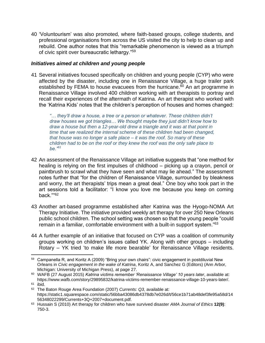40 'Voluntourism' was also promoted, where faith-based groups, college students, and professional organisations from across the US visited the city to help to clean up and rebuild. One author notes that this "remarkable phenomenon is viewed as a triumph of civic spirit over bureaucratic lethargy."<sup>59</sup>

#### *Initiatives aimed at children and young people*

<span id="page-14-0"></span>41 Several initiatives focused specifically on children and young people (CYP) who were affected by the disaster, including one in Renaissance Village, a huge trailer park established by FEMA to house evacuees from the hurricane.<sup>60</sup> An art programme in Renaissance Village involved 400 children working with art therapists to portray and recall their experiences of the aftermath of Katrina. An art therapist who worked with the 'Katrina Kids' notes that the children's perception of houses and homes changed:

*"… they'll draw a house, a tree or a person or whatever. These children didn't draw houses we got triangles… We thought maybe they just didn't know how to draw a house but then a 12-year-old drew a triangle and it was at that point in time that we realized the internal scheme of these children had been changed, that house was no longer a safe place – it was the roof. So many of these children had to be on the roof or they knew the roof was the only safe place to be."<sup>61</sup>*

- 42 An assessment of the Renaissance Village art initiative suggests that "one method for healing is relying on the first impulses of childhood – picking up a crayon, pencil or paintbrush to scrawl what they have seen and what may lie ahead." The assessment notes further that "for the children of Renaissance Village, surrounded by bleakness and worry, the art therapists' trips mean a great deal." One boy who took part in the art sessions told a facilitator: "I know you love me because you keep on coming back."" 62
- 43 Another art-based programme established after Katrina was the Hyogo-NOMA Art Therapy Initiative. The initiative provided weekly art therapy for over 250 New Orleans public school children. The school setting was chosen so that the young people "could remain in a familiar, comfortable environment with a built-in support system."<sup>63</sup>
- 44 A further example of an initiative that focused on CYP was a coalition of community groups working on children's issues called YK. Along with other groups – including Rotary – YK tried 'to make life more bearable' for Renaissance Village residents.

<sup>59</sup> Campanella R, and Koritz A (2009) "Bring your own chairs": civic engagement in postdiluvial New Orleans in *Civic engagement in the wake of Katrina*, Koritz A, and Sanchez G (Editors) (Ann Arbor, Michigan: University of Michigan Press), at page 27.

<sup>60</sup> WAFB (27 August 2015) *Katrina victims remember 'Renaissance Village' 10 years later*, available at: https://www.wafb.com/story/29895832/katrina-victims-remember-renaissance-village-10-years-later/.

<sup>61</sup> ibid.

<sup>62</sup> The Baton Rouge Area Foundation (2007) *Currents: Q3*, available at: https://static1.squarespace.com/static/56bba43086db4378db7e026d/t/56ce1b71ab48def3fe95a58d/14 56348022299/Currents+3Q+2007+document.pdf.

<sup>63</sup> Hussain S (2010) Art therapy for children who have survived disaster *AMA Journal of Ethics* **12(9)**: 750-3.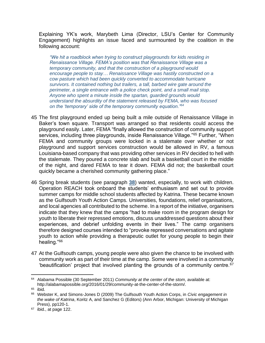Explaining YK's work, Marybeth Lima (Director, LSU's Center for Community Engagement) highlights an issue faced and surmounted by the coalition in the following account:

*"We hit a roadblock when trying to construct playgrounds for kids residing in Renaissance Village. FEMA's position was that Renaissance Village was a temporary community, and that the construction of a playground would encourage people to stay… Renaissance Village was hastily constructed on a cow pasture which had been quickly converted to accommodate hurricane survivors. It contained nothing but trailers, a tall, barbed wire gate around the perimeter, a single entrance with a police check point, and a small mail stop. Anyone who spent a minute inside the spartan, guarded grounds would understand the absurdity of the statement released by FEMA, who was focused on the 'temporary' side of the temporary community equation."<sup>64</sup>*

- 45 The first playground ended up being built a mile outside of Renaissance Village in Baker's town square. Transport was arranged so that residents could access the playground easily. Later, FEMA "finally allowed the construction of community support services, including three playgrounds, inside Renaissance Village."<sup>65</sup> Further, "When FEMA and community groups were locked in a stalemate over whether or not playground and support services construction would be allowed in RV, a famous Louisiana-based company that was providing other services in RV decided to hell with the stalemate. They poured a concrete slab and built a basketball court in the middle of the night, and dared FEMA to tear it down. FEMA did not; the basketball court quickly became a cherished community gathering place."
- <span id="page-15-0"></span>46 Spring break students (see paragraph **[38](#page-13-0)**) wanted, especially, to work with children. Operation REACH took onboard the students' enthusiasm and set out to provide summer camps for middle school students affected by Katrina. These became known as the Gulfsouth Youth Action Camps. Universities, foundations, relief organisations, and local agencies all contributed to the scheme. In a report of the initiative, organisers indicate that they knew that the camps "had to make room in the program design for youth to liberate their repressed emotions, discuss unaddressed questions about their experiences, and debrief unfolding events in their lives." The camp organisers therefore designed courses intended to "provoke repressed conversations and agitate youth to action while providing a therapeutic outlet for young people to begin their healing."<sup>66</sup>
- 47 At the Gulfsouth camps, young people were also given the chance to be involved with community work as part of their time at the camp. Some were involved in a community 'beautification' project that involved planting the grounds of a community centre.<sup>67</sup>

<sup>64</sup> Alabama Possible (30 September 2011) *Community at the center of the stom*, available at: http://alabamapossible.org/2016/01/29/community-at-the-center-of-the-storm/.

 $65$  ibid.

<sup>66</sup> Webster K, and Simons-Jones D (2009) The Gulfsouth Youth Action Corps, in *Civic engagement in the wake of Katrina*, Koritz A, and Sanchez G (Editors) (Ann Arbor, Michigan: University of Michigan Press), pp120-1.

 $67$  ibid., at page 122.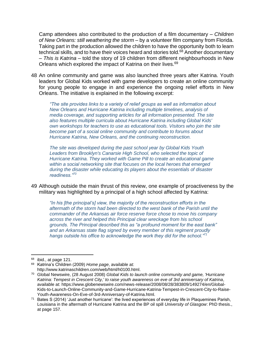Camp attendees also contributed to the production of a film documentary – *Children of New Orleans: still weathering the storm* – by a volunteer film company from Florida. Taking part in the production allowed the children to have the opportunity both to learn technical skills, and to have their voices heard and stories told.<sup>68</sup> Another documentary – *This is Katrina* – told the story of 19 children from different neighbourhoods in New Orleans which explored the impact of Katrina on their lives.<sup>69</sup>

48 An online community and game was also launched three years after Katrina. Youth leaders for Global Kids worked with game developers to create an online community for young people to engage in and experience the ongoing relief efforts in New Orleans. The initiative is explained in the following excerpt:

*"The site provides links to a variety of relief groups as well as information about New Orleans and Hurricane Katrina including multiple timelines, analysis of media coverage, and supporting articles for all information presented. The site also features multiple curricula about Hurricane Katrina including Global Kids' own workshops for teachers to use as educational tools. Visitors who join the site become part of a social online community and contribute to forums about Hurricane Katrina, New Orleans, and the continuing reconstruction.*

*The site was developed during the past school year by Global Kids Youth Leaders from Brooklyn's Canarsie High School, who selected the topic of Hurricane Katrina. They worked with Game Pill to create an educational game within a social networking site that focuses on the local heroes that emerged during the disaster while educating its players about the essentials of disaster readiness."<sup>70</sup>*

49 Although outside the main thrust of this review, one example of proactiveness by the military was highlighted by a principal of a high school affected by Katrina:

*"In his [the principal's] view, the majority of the reconstruction efforts in the aftermath of the storm had been directed to the west bank of the Parish until the commander of the Arkansas air force reserve force chose to move his company across the river and helped this Principal clear wreckage from his school grounds. The Principal described this as "a profound moment for the east bank" and an Arkansas state flag signed by every member of this regiment proudly hangs outside his office to acknowledge the work they did for the school."<sup>71</sup>*

 $68$  ibid., at page 121.

<sup>69</sup> Katrina's Children (2009) *Home page*, available at: http://www.katrinaschildren.com/web/html/h0100.html.

<sup>70</sup> Global Newswire, (28 August 2008) *Global Kids to launch online community and game, 'Hurricane Katrina: Tempest in Crescent City,' to raise youth awareness on eve of 3rd anniversary of Katrina*, available at: https://www.globenewswire.com/news-release/2008/08/28/383809/149274/en/Global-Kids-to-Launch-Online-Community-and-Game-Hurricane-Katrina-Tempest-in-Crescent-City-to-Raise-Youth-Awareness-On-Eve-of-3rd-Anniversary-of-Katrina.html.

<sup>71</sup> Bates S (2014) 'Just another hurricane': the lived experiences of everyday life in Plaquemines Parish, Louisiana in the aftermath of Hurricane Katrina and the BP oil spill *University of Glasgow*: PhD thesis., at page 157.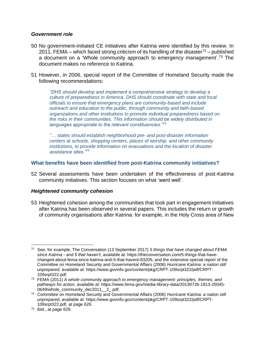#### *Government role*

- <span id="page-17-1"></span>50 No government-initiated CE initiatives after Katrina were identified by this review. In 2011, FEMA – which faced strong criticism of its handling of the disaster<sup>72</sup> – published a document on a 'Whole community approach to emergency management'.<sup>73</sup> The document makes no reference to Katrina.
- <span id="page-17-2"></span>51 However, in 2006, special report of the Committee of Homeland Security made the following recommendations:

*"DHS should develop and implement a comprehensive strategy to develop a culture of preparedness in America. DHS should coordinate with state and local officials to ensure that emergency plans are community-based and include outreach and education to the public, through community and faith-based organizations and other institutions to promote individual preparedness based on the risks in their communities. This information should be widely distributed in languages appropriate to the relevant constituencies."<sup>74</sup>*

*"… states should establish neighborhood pre- and post-disaster information centers at schools, shopping centers, places of worship, and other community institutions, to provide information on evacuations and the location of disaster assistance sites."<sup>75</sup>*

#### <span id="page-17-0"></span>**What benefits have been identified from post-Katrina community initiatives?**

52 Several assessments have been undertaken of the effectiveness of post-Katrina community initiatives. This section focuses on what 'went well'.

#### *Heightened community cohesion*

53 Heightened cohesion among the communities that took part in engagement initiatives after Katrina has been observed in several papers. This includes the return or growth of community organisations after Katrina: for example, in the Holy Cross area of New

<sup>72</sup> See, for example, The Conversation (13 September 2017) *5 things that have changed about FEMA since Katrina - and 5 that haven't*, available at: https://theconversation.com/5-things-that-havechanged-about-fema-since-katrina-and-5-that-havent-83205; and the extensive special report of the Committee on Homeland Security and Governmental Affairs (2006) *Hurricane Katrina: a nation still unprepared*, available at: https://www.govinfo.gov/content/pkg/CRPT-109srpt322/pdf/CRPT-109srpt322.pdf.

<sup>73</sup> FEMA (2011) *A whole community approach to emergency management: principles, themes, and pathways for action*, available at: https://www.fema.gov/media-library-data/20130726-1813-25045- 0649/whole\_community\_dec2011\_2\_.pdf.

<sup>74</sup> Committee on Homeland Security and Governmental Affairs (2006) *Hurricane Katrina: a nation still unprepared*, available at: https://www.govinfo.gov/content/pkg/CRPT-109srpt322/pdf/CRPT-109srpt322.pdf, at page 626.

<sup>75</sup> ibid., at page 629.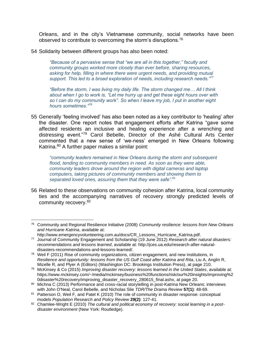Orleans, and in the city's Vietnamese community, social networks have been observed to contribute to overcoming the storm's disruptions.<sup>76</sup>

54 Solidarity between different groups has also been noted:

*"Because of a pervasive sense that "we are all in this together," faculty and community groups worked more closely than ever before, sharing resources, asking for help, filling in where there were urgent needs, and providing mutual support. This led to a broad exploration of needs, including research needs."<sup>77</sup>*

*"Before the storm, I was living my daily life. The storm changed me… All I think about when I go to work is, "Let me hurry up and get these eight hours over with so I can do my community work". So when I leave my job, I put in another eight hours sometimes."<sup>78</sup>*

55 Generally 'feeling involved' has also been noted as a key contributor to 'healing' after the disaster. One report notes that engagement efforts after Katrina "gave some affected residents an inclusive and healing experience after a wrenching and distressing event."<sup>79</sup> Carol Bebelle, Director of the Ashé Cultural Arts Center commented that a new sense of 'we-ness' emerged in New Orleans following Katrina.<sup>80</sup> A further paper makes a similar point:

*"community leaders remained in New Orleans during the storm and subsequent flood, tending to community members in need. As soon as they were able, community leaders drove around the region with digital cameras and laptop computers, taking pictures of community members and showing them to separated loved ones, assuring them that they were safe".<sup>81</sup>*

56 Related to these observations on community cohesion after Katrina, local community ties and the accompanying narratives of recovery strongly predicted levels of community recovery.<sup>82</sup>

<sup>76</sup> Community and Regional Resilience Initiative (2008) *Community resilience: lessons from New Orleans and Hurricane Katrina*, available at:

http://www.emergencyvolunteering.com.au/docs/CR\_Lessons\_Hurricane\_Katrina.pdf.

<sup>77</sup> Journal of Community Engagement and Scholarship (19 June 2012) *Research after natural disasters: recommendations and lessons learned*, available at: http://jces.ua.edu/research-after-naturaldisasters-recommendations-and-lessons-learned/.

 $78$  Weil F (2011) Rise of community organizations, citizen engagement, and new institutions, in *Resilience and opportunity: lessons from the US Gulf Coast after Katrina and Rita*, Liu A, Anglin R, Mizelle R, and Plyer A (Editors) (Washington DC: Brookings Institution Press), at page 210.

<sup>79</sup> McKinsey & Co (2015) *Improving disaster recovery: lessons learned in the United States*, available at: https://www.mckinsey.com/~/media/mckinsey/business%20functions/risk/our%20insights/improving%2 0disaster%20recovery/improving\_disaster\_recovery\_280615\_final.ashx, at page 20.

<sup>80</sup> Michna C (2013) Performance and cross-racial storytelling in post-Katrina New Orleans: interviews with John O'Neal, Carol Bebelle, and Nicholas Slie *TDR/The Drama Review* **57(1)**: 48-69.

<sup>81</sup> Patterson O, Weil F, and Patel K (2010) The role of community in disaster response: conceptual models *Population Research and Policy Review* **29(2)**: 127-41.

<sup>82</sup> Chamlee-Wright E (2010) The cultural and political economy of recovery: social learning in a post*disaster environment* (New York: Routledge).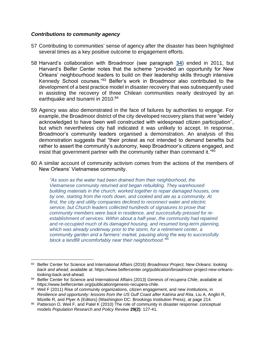#### *Contributions to community agency*

- 57 Contributing to communities' sense of agency after the disaster has been highlighted several times as a key positive outcome to engagement efforts.
- 58 Harvard's collaboration with Broadmoor (see paragraph **[34](#page-12-0)**) ended in 2011, but Harvard's Belfer Center notes that the scheme "provided an opportunity for New Orleans' neighbourhood leaders to build on their leadership skills through intensive Kennedy School courses."<sup>83</sup> Belfer's work in Broadmoor also contributed to the development of a best practice model in disaster recovery that was subsequently used in assisting the recovery of three Chilean communities nearly destroyed by an earthquake and tsunami in 2010.<sup>84</sup>
- 59 Agency was also demonstrated in the face of failures by authorities to engage. For example, the Broadmoor district of the city developed recovery plans that were "widely acknowledged to have been well constructed with widespread citizen participation", but which nevertheless city hall indicated it was unlikely to accept. In response, Broadmoor's community leaders organised a demonstration. An analysis of this demonstration suggests that "their protest as not intended to demand benefits but rather to assert the community's autonomy, keep Broadmoor's citizens engaged, and insist that government partner with the community rather than command it."<sup>85</sup>
- 60 A similar account of community activism comes from the actions of the members of New Orleans' Vietnamese community.

*"As soon as the water had been drained from their neighborhood, the Vietnamese community returned and began rebuilding. They warehoused building materials in the church, worked together to repair damaged houses, one by one, starting from the roofs down, and cooked and ate as a community. At first, the city and utility companies declined to reconnect water and electric service, but Church leaders collected hundreds of signatures to prove that community members were back in residence, and successfully pressed for reestablishment of services. Within about a half-year, the community had repaired and re-occupied much of its damaged housing, and resumed long-term planning, which was already underway prior to the storm, for a retirement center, a community garden and a farmers' market, pausing along the way to successfully block a landfill uncomfortably near their neighborhood."<sup>86</sup>*

<sup>83</sup> Belfer Center for Science and International Affairs (2016) *Broadmoor Project, New Orleans: looking back and ahead*, available at: https://www.belfercenter.org/publication/broadmoor-project-new-orleanslooking-back-and-ahead.

<sup>84</sup> Belfer Center for Science and International Affairs (2013) *Genesis of recupera Chile*, available at: https://www.belfercenter.org/publication/genesis-recupera-chile.

<sup>85</sup> Weil F (2011) Rise of community organizations, citizen engagement, and new institutions, in *Resilience and opportunity: lessons from the US Gulf Coast after Katrina and Rita*, Liu A, Anglin R, Mizelle R, and Plyer A (Editors) (Washington DC: Brookings Institution Press), at page 214.

<sup>86</sup> Patterson O, Weil F, and Patel K (2010) The role of community in disaster response: conceptual models *Population Research and Policy Review* **29(2)**: 127-41.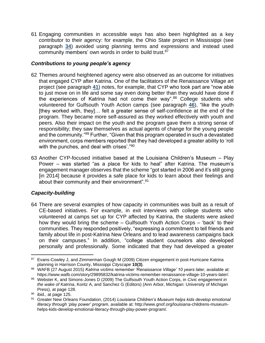61 Engaging communities in accessible ways has also been highlighted as a key contributor to their agency: for example, the Ohio State project in Mississippi (see paragraph **[34](#page-12-1)**) avoided using planning terms and expressions and instead used community members' own words in order to build trust.<sup>87</sup>

# *Contributions to young people's agency*

- 62 Themes around heightened agency were also observed as an outcome for initiatives that engaged CYP after Katrina. One of the facilitators of the Renaissance Village art project (see paragraph **[41](#page-14-0)**) notes, for example, that CYP who took part are "now able to just move on in life and some say even doing better than they would have done if the experiences of Katrina had not come their way".<sup>88</sup> College students who volunteered for Gulfsouth Youth Action camps (see paragraph **[46](#page-15-0)**), "like the youth [they worked with, they]… felt a greater sense of self-confidence at the end of the program. They became more self-assured as they worked effectively with youth and peers. Also their impact on the youth and the program gave them a strong sense of responsibility; they saw themselves as actual agents of change for the young people and the community."<sup>89</sup> Further, "Given that this program operated in such a devastated environment, corps members reported that they had developed a greater ability to 'roll with the punches, and deal with crises'."<sup>90</sup>
- 63 Another CYP-focused initiative based at the Louisiana Children's Museum Play Power – was started "as a place for kids to heal" after Katrina. The museum's engagement manager observes that the scheme "got started in 2006 and it's still going [in 2014] because it provides a safe place for kids to learn about their feelings and about their community and their environment".<sup>91</sup>

# *Capacity-building*

64 There are several examples of how capacity in communities was built as a result of CE-based initiatives. For example, in exit interviews with college students who volunteered at camps set up for CYP affected by Katrina, the students were asked how they would bring the scheme – Gulfsouth Youth Action Corps – 'back' to their communities. They responded positively, "expressing a commitment to tell friends and family about life in post-Katrina New Orleans and to lead awareness campaigns back on their campuses." In addition, "college student counselors also developed personally and professionally. Some indicated that they had developed a greater

<sup>87</sup> Evans-Cowley J, and Zimmerman Gough M (2009) Citizen engagement in post-Hurricane Katrina planning in Harrison County, Misssippi *Cityscape* **10(3)**.

<sup>88</sup> WAFB (27 August 2015) *Katrina victims remember 'Renaissance Village' 10 years later*, available at: https://www.wafb.com/story/29895832/katrina-victims-remember-renaissance-village-10-years-later/.

<sup>89</sup> Webster K, and Simons-Jones D (2009) The Gulfsouth Youth Action Corps, in *Civic engagement in the wake of Katrina*, Koritz A, and Sanchez G (Editors) (Ann Arbor, Michigan: University of Michigan Press), at page 128.

 $90$  ibid., at page 125.

<sup>91</sup> Greater New Orleans Foundation, (2014) *Louisiana Children's Museum helps kids develop emotional literacy through 'play power' program*, available at: http://www.gnof.org/louisiana-childrens-museumhelps-kids-develop-emotional-literacy-through-play-power-program/.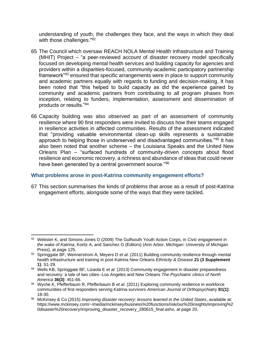understanding of youth, the challenges they face, and the ways in which they deal with those challenges."<sup>92</sup>

- 65 The Council which oversaw REACH NOLA Mental Health Infrastructure and Training (MHIT) Project – "a peer-reviewed account of disaster recovery model specifically focused on developing mental health services and building capacity for agencies and providers within a disparities-focused, community-academic participatory partnership framework"<sup>93</sup> ensured that specific arrangements were in place to support community and academic partners equally with regards to funding and decision-making. It has been noted that "this helped to build capacity as did the experience gained by community and academic partners from contributing to all program phases from inception, relating to funders, implementation, assessment and dissemination of products or results."<sup>94</sup>
- 66 Capacity building was also observed as part of an assessment of community resilience where 90 first responders were invited to discuss how their teams engaged in resilience activities in affected communities. Results of the assessment indicated that "providing valuable environmental clean-up skills represents a sustainable approach to helping those in underserved and disadvantaged communities."<sup>95</sup> It has also been noted that another scheme – the Louisiana Speaks and the United New Orleans Plan – "surfaced hundreds of community-driven concepts about flood resilience and economic recovery, a richness and abundance of ideas that could never have been generated by a central government source."<sup>96</sup>

#### <span id="page-21-0"></span>**What problems arose in post-Katrina community engagement efforts?**

67 This section summarises the kinds of problems that arose as a result of post-Katrina engagement efforts, alongside some of the ways that they were tackled.

<sup>92</sup> Webster K, and Simons-Jones D (2009) The Gulfsouth Youth Action Corps, in *Civic engagement in the wake of Katrina*, Koritz A, and Sanchez G (Editors) (Ann Arbor, Michigan: University of Michigan Press), at page 125.

<sup>93</sup> Springgate BF, Wennerstrom A, Meyers D *et al.* (2011) Building community resilience through mental health infrastructure and training in post-Katrina New Orleans *Ethnicity & Disease* **21 (3 Supplement 1)**: S1-29.

<sup>94</sup> Wells KB, Springgate BF, Lizaola E *et al.* (2013) Community engagement in disaster preparedness and recovery: a tale of two cities--Los Angeles and New Orleans *The Psychiatric clinics of North America* **36(3)**: 451-66.

<sup>95</sup> Wyche K, Pfefferbaum R, Pfefferbaum B *et al.* (2011) Exploring community resilience in workforce communities of first responders serving Katrina survivors *American Journal of Orthopsychiatry* **81(1)**: 18-30.

<sup>96</sup> McKinsey & Co (2015) *Improving disaster recovery: lessons learned in the United States*, available at: https://www.mckinsey.com/~/media/mckinsey/business%20functions/risk/our%20insights/improving%2 0disaster%20recovery/improving\_disaster\_recovery\_280615\_final.ashx, at page 20.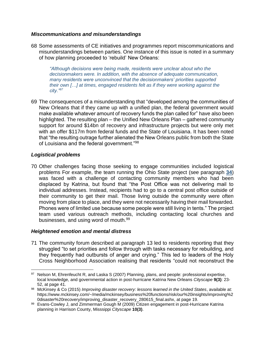#### *Miscommunications and misunderstandings*

68 Some assessments of CE initiatives and programmes report miscommunications and misunderstandings between parties. One instance of this issue is noted in a summary of how planning proceeded to 'rebuild' New Orleans:

*"Although decisions were being made, residents were unclear about who the decisionmakers were. In addition, with the absence of adequate communication, many residents were unconvinced that the decisionmakers' priorities supported their own […] at times, engaged residents felt as if they were working against the city."<sup>97</sup>*

69 The consequences of a misunderstanding that "developed among the communities of New Orleans that if they came up with a unified plan, the federal government would make available whatever amount of recovery funds the plan called for" have also been highlighted. The resulting plan – the Unified New Orleans Plan – gathered community support for around \$14bn of recovery and infrastructure projects but were only met with an offer \$117m from federal funds and the State of Louisiana. It has been noted that "the resulting outrage further alienated the New Orleans public from both the State of Louisiana and the federal government."<sup>98</sup>

## *Logistical problems*

70 Other challenges facing those seeking to engage communities included logistical problems For example, the team running the Ohio State project (see paragraph **[34](#page-12-1)**) was faced with a challenge of contacting community members who had been displaced by Katrina, but found that "the Post Office was not delivering mail to individual addresses. Instead, recipients had to go to a central post office outside of their community to get their mail. Those living outside the community were often moving from place to place, and they were not necessarily having their mail forwarded. Phones were of limited use because some people were still living in tents." The project team used various outreach methods, including contacting local churches and businesses, and using word of mouth.<sup>99</sup>

#### *Heightened emotion and mental distress*

<span id="page-22-0"></span>71 The community forum described at paragraph [13](#page-6-0) led to residents reporting that they struggled "to set priorities and follow through with tasks necessary for rebuilding, and they frequently had outbursts of anger and crying." This led to leaders of the Holy Cross Neighborhood Association realising that residents "could not reconstruct the

<sup>97</sup> Nelson M, Ehrenfeucht R, and Laska S (2007) Planning, plans, and people: professional expertise, local knowledge, and governmental action in post-hurricane Katrina New Orleans *Cityscape* **9(3)**: 23- 52, at page 41.

<sup>98</sup> McKinsey & Co (2015) *Improving disaster recovery: lessons learned in the United States*, available at: https://www.mckinsey.com/~/media/mckinsey/business%20functions/risk/our%20insights/improving%2 0disaster%20recovery/improving\_disaster\_recovery\_280615\_final.ashx, at page 19.

<sup>99</sup> Evans-Cowley J, and Zimmerman Gough M (2009) Citizen engagement in post-Hurricane Katrina planning in Harrison County, Misssippi *Cityscape* **10(3)**.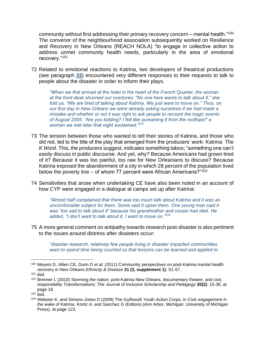community without first addressing their primary recovery concern – mental health."<sup>100</sup> The convenor of the neighbourhood association subsequently worked on Resilience and Recovery in New Orleans (REACH NOLA) "to engage in collective action to address unmet community health needs, particularly in the area of emotional recovery."<sup>101</sup>

72 Related to emotional reactions to Katrina, two developers of theatrical productions (see paragraph **[33](#page-12-2)**) encountered very different responses to their requests to talk to people about the disaster in order to inform their plays.

*"When we first arrived at the hotel in the heart of the French Quarter, the woman at the front desk shunned our overtures: "No one here wants to talk about it," she told us, "We are tired of talking about Katrina. We just want to move on." Thus, on our first day in New Orleans we were already asking ourselves if we had made a mistake and whether or not it was right to ask people to recount the tragic events of August 2005. "Are you kidding? I felt like screaming it from the rooftops!" a woman we met later that night exclaimed."<sup>102</sup>*

- 73 The tension between those who wanted to tell their stories of Katrina, and those who did not, led to the title of the play that emerged from the producers' work: *Katrina: The K Word*. This, the producers suggest, indicates something taboo; "something one can't easily discuss in public discourse. And yet, why? Because Americans had grown tired of it? Because it was too painful, too raw for New Orleanians to discuss? Because Katrina exposed the abandonment of a city in which 28 percent of the population lived below the poverty line – of whom 77 percent were African Americans? $103$
- 74 Sensitivities that arose when undertaking CE have also been noted in an account of how CYP were engaged in a dialogue at camps set up after Katrina:

*"Almost half complained that there was too much talk about Katrina and it was an uncomfortable subject for them. Some said it upset them. One young man said it was "too sad to talk about it" because his grandmother and cousin had died. He added, "I don't want to talk about it. I want to move on."<sup>104</sup>*

75 A more general comment on antipathy towards research post-disaster is also pertinent to the issues around distress after disasters occur:

*"disaster research, relatively few people living in disaster impacted communities want to spend time being counted so that lessons can be learned and applied to* 

<sup>100</sup> Meyers D, Allien CE, Dunn D *et al.* (2011) Community perspectives on post-Katrina mental health recovery in New Orleans *Ethnicity & Disease* **21 (3, supplement 1)**: S1-57.

 $101$  ibid.

<sup>&</sup>lt;sup>102</sup> Brenner L (2010) Storming the nation: post-Katrina New Orleans, documentary theatre, and civic responsibility *Transformations: The Journal of Inclusive Scholarship and Pedagogy* **20(2)**: 15-38, at page 18.

 $103$  ibid.

<sup>104</sup> Webster K, and Simons-Jones D (2009) The Gulfsouth Youth Action Corps, in *Civic engagement in the wake of Katrina*, Koritz A, and Sanchez G (Editors) (Ann Arbor, Michigan: University of Michigan Press), at page 123.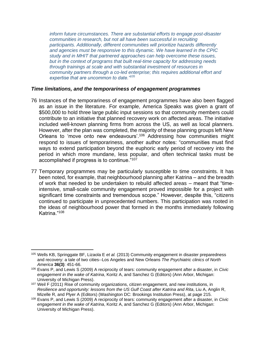*inform future circumstances. There are substantial efforts to engage post-disaster communities in research, but not all have been successful in recruiting participants. Additionally, different communities will prioritize hazards differently and agencies must be responsive to this dynamic. We have learned in the CPIC study and in MHIT that partnered approaches can help overcome these issues, but in the context of programs that built real-time capacity for addressing needs through trainings at scale and with substantial investment of resources in community partners through a co-led enterprise; this requires additional effort and expertise that are uncommon to date."<sup>105</sup>*

#### *Time limitations, and the temporariness of engagement programmes*

- 76 Instances of the temporariness of engagement programmes have also been flagged as an issue in the literature. For example, America Speaks was given a grant of \$500,000 to hold three large public input sessions so that community members could contribute to an initiative that planned recovery work on affected areas. The initiative included well-known planning firms from across the US, as well as local planners. However, after the plan was completed, the majority of these planning groups left New Orleans to 'move onto new endeavours'.<sup>106</sup> Addressing how communities might respond to issues of temporariness, another author notes: "communities must find ways to extend participation beyond the euphoric early period of recovery into the period in which more mundane, less popular, and often technical tasks must be accomplished if progress is to continue."<sup>107</sup>
- 77 Temporary programmes may be particularly susceptible to time constraints. It has been noted, for example, that neighbourhood planning after Katrina – and the breadth of work that needed to be undertaken to rebuild affected areas – meant that "timeintensive, small-scale community engagement proved impossible for a project with significant time constraints and tremendous scope." However, despite this, "citizens continued to participate in unprecedented numbers. This participation was rooted in the ideas of neighbourhood power that formed in the months immediately following Katrina."<sup>108</sup>

<sup>105</sup> Wells KB, Springgate BF, Lizaola E *et al.* (2013) Community engagement in disaster preparedness and recovery: a tale of two cities--Los Angeles and New Orleans *The Psychiatric clinics of North America* **36(3)**: 451-66.

<sup>106</sup> Evans P, and Lewis S (2009) A reciprocity of tears: community engagement after a disaster, in *Civic engagement in the wake of Katrina*, Koritz A, and Sanchez G (Editors) (Ann Arbor, Michigan: University of Michigan Press).

 $107$  Weil F (2011) Rise of community organizations, citizen engagement, and new institutions, in *Resilience and opportunity: lessons from the US Gulf Coast after Katrina and Rita*, Liu A, Anglin R, Mizelle R, and Plyer A (Editors) (Washington DC: Brookings Institution Press), at page 215.

<sup>108</sup> Evans P, and Lewis S (2009) A reciprocity of tears: community engagement after a disaster, in *Civic engagement in the wake of Katrina*, Koritz A, and Sanchez G (Editors) (Ann Arbor, Michigan: University of Michigan Press).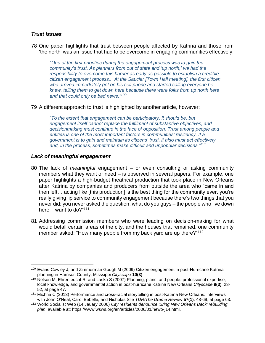#### *Trust issues*

78 One paper highlights that trust between people affected by Katrina and those from 'the north' was an issue that had to be overcome in engaging communities effectively:

*"One of the first priorities during the engagement process was to gain the community's trust. As planners from out of state and 'up north,' we had the responsibility to overcome this barrier as early as possible to establish a credible citizen engagement process... At the Saucier [Town Hall meeting], the first citizen who arrived immediately got on his cell phone and started calling everyone he knew, telling them to get down here because there were folks from up north here and that could only be bad news."<sup>109</sup>*

79 A different approach to trust is highlighted by another article, however:

*"To the extent that engagement can be participatory, it should be, but engagement itself cannot replace the fulfilment of substantive objectives, and decisionmaking must continue in the face of opposition. Trust among people and entities is one of the most important factors in communities' resiliency. If a government is to gain and maintain its citizens' trust, it also must act effectively and, in the process, sometimes make difficult and unpopular decisions."<sup>110</sup>*

#### *Lack of meaningful engagement*

- 80 The lack of *meaningful* engagement or even consulting or asking community members what they want or need – is observed in several papers. For example, one paper highlights a high-budget theatrical production that took place in New Orleans after Katrina by companies and producers from outside the area who "came in and then left… acting like [this production] is the best thing for the community ever, you're really giving lip service to community engagement because there's two things that you never did: you never asked the question, what do you guys – the people who live down here – want to do?" $111$
- 81 Addressing commission members who were leading on decision-making for what would befall certain areas of the city, and the houses that remained, one community member asked: "How many people from my back yard are up there?"<sup>112</sup>

<sup>&</sup>lt;sup>109</sup> Evans-Cowley J, and Zimmerman Gough M (2009) Citizen engagement in post-Hurricane Katrina planning in Harrison County, Misssippi *Cityscape* **10(3)**.

<sup>110</sup> Nelson M, Ehrenfeucht R, and Laska S (2007) Planning, plans, and people: professional expertise, local knowledge, and governmental action in post-hurricane Katrina New Orleans *Cityscape* **9(3)**: 23- 52, at page 47.

<sup>111</sup> Michna C (2013) Performance and cross-racial storytelling in post-Katrina New Orleans: interviews with John O'Neal, Carol Bebelle, and Nicholas Slie *TDR/The Drama Review* **57(1)**: 48-69, at page 63.

<sup>112</sup> World Socialist Web (14 Jauary 2006) *City residents denounce 'Bring New Orleans Back' rebuilding plan*, available at: https://www.wsws.org/en/articles/2006/01/newo-j14.html.